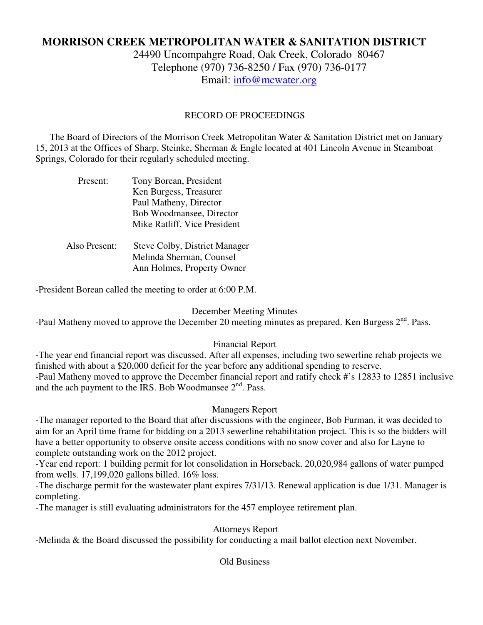# **MORRISON CREEK METROPOLITAN WATER & SANITATION DISTRICT**

24490 Uncompahgre Road, Oak Creek, Colorado 80467 Telephone (970) 736-8250 / Fax (970) 736-0177 Email: info@mcwater.org

#### RECORD OF PROCEEDINGS

 The Board of Directors of the Morrison Creek Metropolitan Water & Sanitation District met on January 15, 2013 at the Offices of Sharp, Steinke, Sherman & Engle located at 401 Lincoln Avenue in Steamboat Springs, Colorado for their regularly scheduled meeting.

| Present:      | Tony Borean, President<br>Ken Burgess, Treasurer<br>Paul Matheny, Director<br>Bob Woodmansee, Director<br>Mike Ratliff, Vice President |
|---------------|----------------------------------------------------------------------------------------------------------------------------------------|
| Also Present: | <b>Steve Colby, District Manager</b><br>Melinda Sherman, Counsel<br>Ann Holmes, Property Owner                                         |

-President Borean called the meeting to order at 6:00 P.M.

#### December Meeting Minutes

-Paul Matheny moved to approve the December 20 meeting minutes as prepared. Ken Burgess  $2<sup>nd</sup>$ . Pass.

## Financial Report

-The year end financial report was discussed. After all expenses, including two sewerline rehab projects we finished with about a \$20,000 deficit for the year before any additional spending to reserve. -Paul Matheny moved to approve the December financial report and ratify check #'s 12833 to 12851 inclusive and the ach payment to the IRS. Bob Woodmansee 2<sup>nd</sup>. Pass.

## Managers Report

-The manager reported to the Board that after discussions with the engineer, Bob Furman, it was decided to aim for an April time frame for bidding on a 2013 sewerline rehabilitation project. This is so the bidders will have a better opportunity to observe onsite access conditions with no snow cover and also for Layne to complete outstanding work on the 2012 project.

-Year end report: 1 building permit for lot consolidation in Horseback. 20,020,984 gallons of water pumped from wells. 17,199,020 gallons billed. 16% loss.

-The discharge permit for the wastewater plant expires 7/31/13. Renewal application is due 1/31. Manager is completing.

-The manager is still evaluating administrators for the 457 employee retirement plan.

## Attorneys Report

-Melinda & the Board discussed the possibility for conducting a mail ballot election next November.

## Old Business